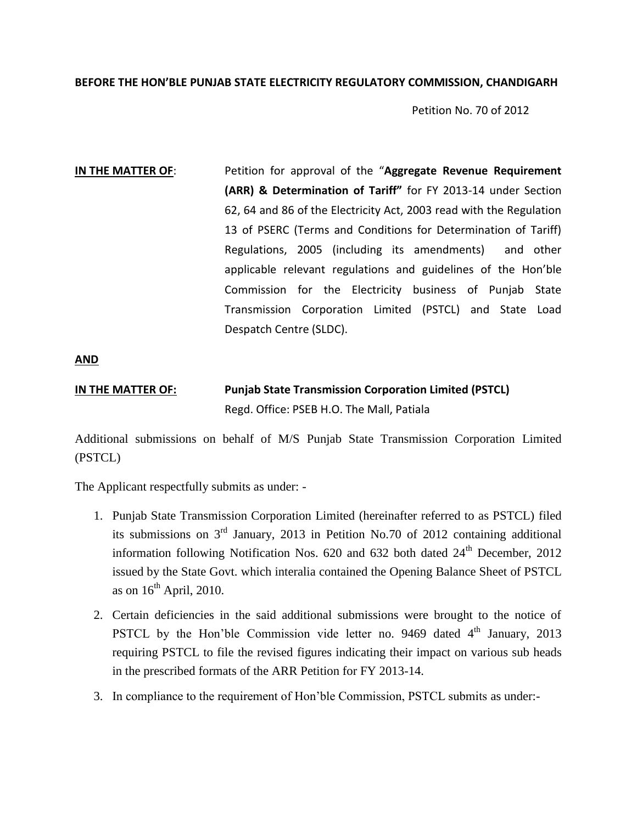### **BEFORE THE HON'BLE PUNJAB STATE ELECTRICITY REGULATORY COMMISSION, CHANDIGARH**

Petition No. 70 of 2012

**IN THE MATTER OF:** Petition for approval of the "Aggregate Revenue Requirement" **(ARR) & Determination of Tariff"** for FY 2013-14 under Section 62, 64 and 86 of the Electricity Act, 2003 read with the Regulation 13 of PSERC (Terms and Conditions for Determination of Tariff) Regulations, 2005 (including its amendments) and other applicable relevant regulations and guidelines of the Hon'ble Commission for the Electricity business of Punjab State Transmission Corporation Limited (PSTCL) and State Load Despatch Centre (SLDC).

**AND**

# **IN THE MATTER OF: Punjab State Transmission Corporation Limited (PSTCL)** Regd. Office: PSEB H.O. The Mall, Patiala

Additional submissions on behalf of M/S Punjab State Transmission Corporation Limited (PSTCL)

The Applicant respectfully submits as under: -

- 1. Punjab State Transmission Corporation Limited (hereinafter referred to as PSTCL) filed its submissions on 3rd January, 2013 in Petition No.70 of 2012 containing additional information following Notification Nos.  $620$  and  $632$  both dated  $24<sup>th</sup>$  December,  $2012$ issued by the State Govt. which interalia contained the Opening Balance Sheet of PSTCL as on  $16<sup>th</sup>$  April, 2010.
- 2. Certain deficiencies in the said additional submissions were brought to the notice of PSTCL by the Hon'ble Commission vide letter no. 9469 dated  $4<sup>th</sup>$  January, 2013 requiring PSTCL to file the revised figures indicating their impact on various sub heads in the prescribed formats of the ARR Petition for FY 2013-14.
- 3. In compliance to the requirement of Hon'ble Commission, PSTCL submits as under:-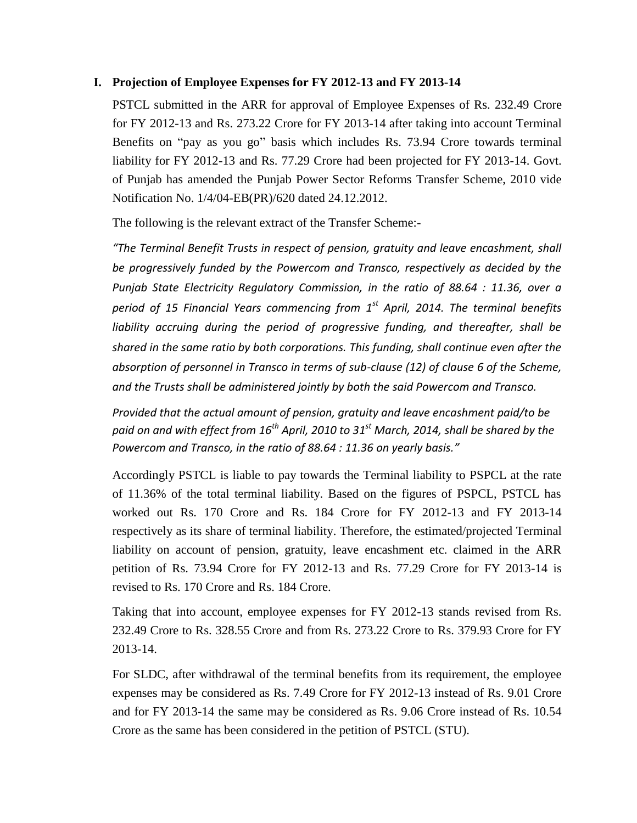## **I. Projection of Employee Expenses for FY 2012-13 and FY 2013-14**

PSTCL submitted in the ARR for approval of Employee Expenses of Rs. 232.49 Crore for FY 2012-13 and Rs. 273.22 Crore for FY 2013-14 after taking into account Terminal Benefits on "pay as you go" basis which includes Rs. 73.94 Crore towards terminal liability for FY 2012-13 and Rs. 77.29 Crore had been projected for FY 2013-14. Govt. of Punjab has amended the Punjab Power Sector Reforms Transfer Scheme, 2010 vide Notification No. 1/4/04-EB(PR)/620 dated 24.12.2012.

The following is the relevant extract of the Transfer Scheme:-

*"The Terminal Benefit Trusts in respect of pension, gratuity and leave encashment, shall be progressively funded by the Powercom and Transco, respectively as decided by the Punjab State Electricity Regulatory Commission, in the ratio of 88.64 : 11.36, over a period of 15 Financial Years commencing from 1st April, 2014. The terminal benefits liability accruing during the period of progressive funding, and thereafter, shall be shared in the same ratio by both corporations. This funding, shall continue even after the absorption of personnel in Transco in terms of sub-clause (12) of clause 6 of the Scheme, and the Trusts shall be administered jointly by both the said Powercom and Transco.*

*Provided that the actual amount of pension, gratuity and leave encashment paid/to be paid on and with effect from 16th April, 2010 to 31st March, 2014, shall be shared by the Powercom and Transco, in the ratio of 88.64 : 11.36 on yearly basis."*

Accordingly PSTCL is liable to pay towards the Terminal liability to PSPCL at the rate of 11.36% of the total terminal liability. Based on the figures of PSPCL, PSTCL has worked out Rs. 170 Crore and Rs. 184 Crore for FY 2012-13 and FY 2013-14 respectively as its share of terminal liability. Therefore, the estimated/projected Terminal liability on account of pension, gratuity, leave encashment etc. claimed in the ARR petition of Rs. 73.94 Crore for FY 2012-13 and Rs. 77.29 Crore for FY 2013-14 is revised to Rs. 170 Crore and Rs. 184 Crore.

Taking that into account, employee expenses for FY 2012-13 stands revised from Rs. 232.49 Crore to Rs. 328.55 Crore and from Rs. 273.22 Crore to Rs. 379.93 Crore for FY 2013-14.

For SLDC, after withdrawal of the terminal benefits from its requirement, the employee expenses may be considered as Rs. 7.49 Crore for FY 2012-13 instead of Rs. 9.01 Crore and for FY 2013-14 the same may be considered as Rs. 9.06 Crore instead of Rs. 10.54 Crore as the same has been considered in the petition of PSTCL (STU).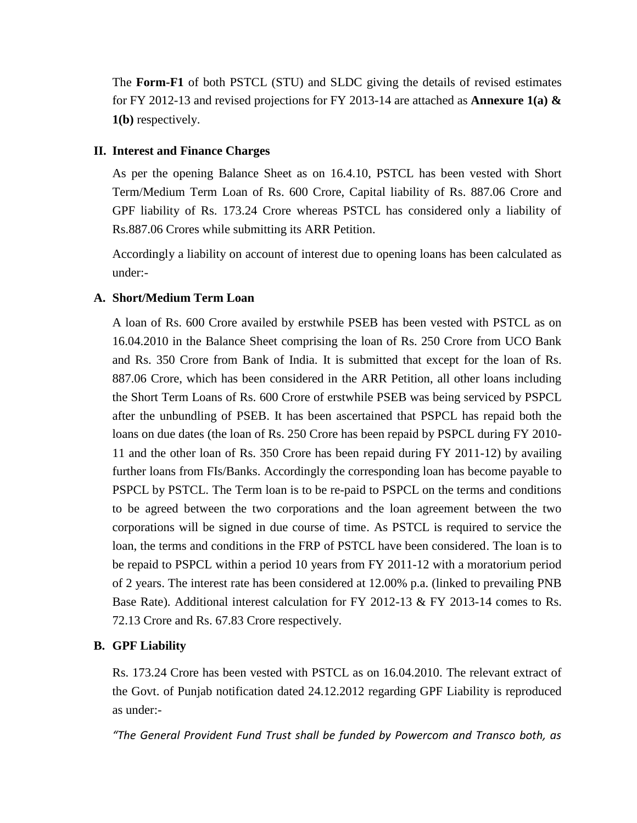The **Form-F1** of both PSTCL (STU) and SLDC giving the details of revised estimates for FY 2012-13 and revised projections for FY 2013-14 are attached as **Annexure 1(a) & 1(b)** respectively.

## **II. Interest and Finance Charges**

As per the opening Balance Sheet as on 16.4.10, PSTCL has been vested with Short Term/Medium Term Loan of Rs. 600 Crore, Capital liability of Rs. 887.06 Crore and GPF liability of Rs. 173.24 Crore whereas PSTCL has considered only a liability of Rs.887.06 Crores while submitting its ARR Petition.

Accordingly a liability on account of interest due to opening loans has been calculated as under:-

# **A. Short/Medium Term Loan**

A loan of Rs. 600 Crore availed by erstwhile PSEB has been vested with PSTCL as on 16.04.2010 in the Balance Sheet comprising the loan of Rs. 250 Crore from UCO Bank and Rs. 350 Crore from Bank of India. It is submitted that except for the loan of Rs. 887.06 Crore, which has been considered in the ARR Petition, all other loans including the Short Term Loans of Rs. 600 Crore of erstwhile PSEB was being serviced by PSPCL after the unbundling of PSEB. It has been ascertained that PSPCL has repaid both the loans on due dates (the loan of Rs. 250 Crore has been repaid by PSPCL during FY 2010- 11 and the other loan of Rs. 350 Crore has been repaid during FY 2011-12) by availing further loans from FIs/Banks. Accordingly the corresponding loan has become payable to PSPCL by PSTCL. The Term loan is to be re-paid to PSPCL on the terms and conditions to be agreed between the two corporations and the loan agreement between the two corporations will be signed in due course of time. As PSTCL is required to service the loan, the terms and conditions in the FRP of PSTCL have been considered. The loan is to be repaid to PSPCL within a period 10 years from FY 2011-12 with a moratorium period of 2 years. The interest rate has been considered at 12.00% p.a. (linked to prevailing PNB Base Rate). Additional interest calculation for FY 2012-13 & FY 2013-14 comes to Rs. 72.13 Crore and Rs. 67.83 Crore respectively.

# **B. GPF Liability**

Rs. 173.24 Crore has been vested with PSTCL as on 16.04.2010. The relevant extract of the Govt. of Punjab notification dated 24.12.2012 regarding GPF Liability is reproduced as under:-

*"The General Provident Fund Trust shall be funded by Powercom and Transco both, as*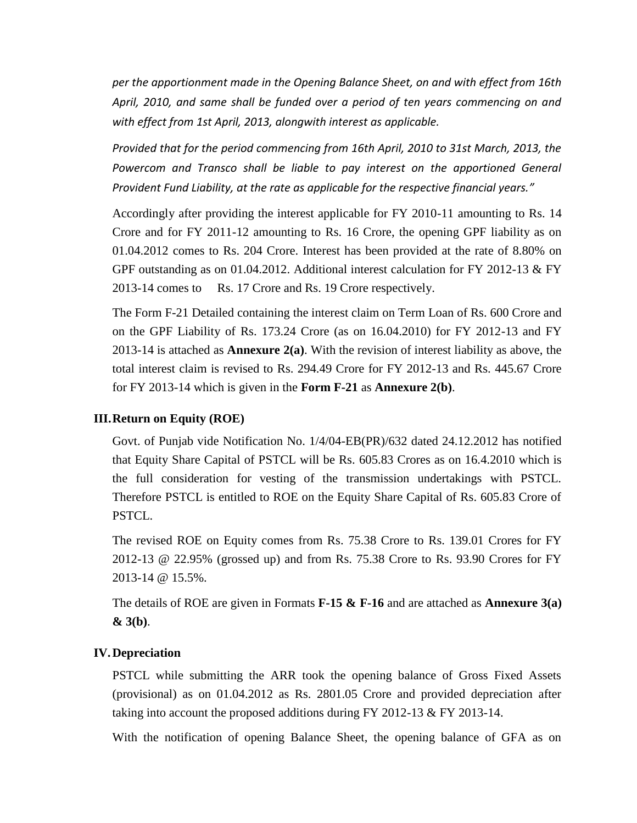*per the apportionment made in the Opening Balance Sheet, on and with effect from 16th April, 2010, and same shall be funded over a period of ten years commencing on and with effect from 1st April, 2013, alongwith interest as applicable.*

*Provided that for the period commencing from 16th April, 2010 to 31st March, 2013, the*  Powercom and Transco shall be liable to pay interest on the apportioned General *Provident Fund Liability, at the rate as applicable for the respective financial years."*

Accordingly after providing the interest applicable for FY 2010-11 amounting to Rs. 14 Crore and for FY 2011-12 amounting to Rs. 16 Crore, the opening GPF liability as on 01.04.2012 comes to Rs. 204 Crore. Interest has been provided at the rate of 8.80% on GPF outstanding as on 01.04.2012. Additional interest calculation for FY 2012-13 & FY 2013-14 comes to Rs. 17 Crore and Rs. 19 Crore respectively.

The Form F-21 Detailed containing the interest claim on Term Loan of Rs. 600 Crore and on the GPF Liability of Rs. 173.24 Crore (as on 16.04.2010) for FY 2012-13 and FY 2013-14 is attached as **Annexure 2(a)**. With the revision of interest liability as above, the total interest claim is revised to Rs. 294.49 Crore for FY 2012-13 and Rs. 445.67 Crore for FY 2013-14 which is given in the **Form F-21** as **Annexure 2(b)**.

#### **III.Return on Equity (ROE)**

Govt. of Punjab vide Notification No. 1/4/04-EB(PR)/632 dated 24.12.2012 has notified that Equity Share Capital of PSTCL will be Rs. 605.83 Crores as on 16.4.2010 which is the full consideration for vesting of the transmission undertakings with PSTCL. Therefore PSTCL is entitled to ROE on the Equity Share Capital of Rs. 605.83 Crore of PSTCL.

The revised ROE on Equity comes from Rs. 75.38 Crore to Rs. 139.01 Crores for FY 2012-13 @ 22.95% (grossed up) and from Rs. 75.38 Crore to Rs. 93.90 Crores for FY 2013-14 @ 15.5%.

The details of ROE are given in Formats **F-15 & F-16** and are attached as **Annexure 3(a) & 3(b)**.

#### **IV.Depreciation**

PSTCL while submitting the ARR took the opening balance of Gross Fixed Assets (provisional) as on 01.04.2012 as Rs. 2801.05 Crore and provided depreciation after taking into account the proposed additions during  $FY$  2012-13  $\&$  FY 2013-14.

With the notification of opening Balance Sheet, the opening balance of GFA as on